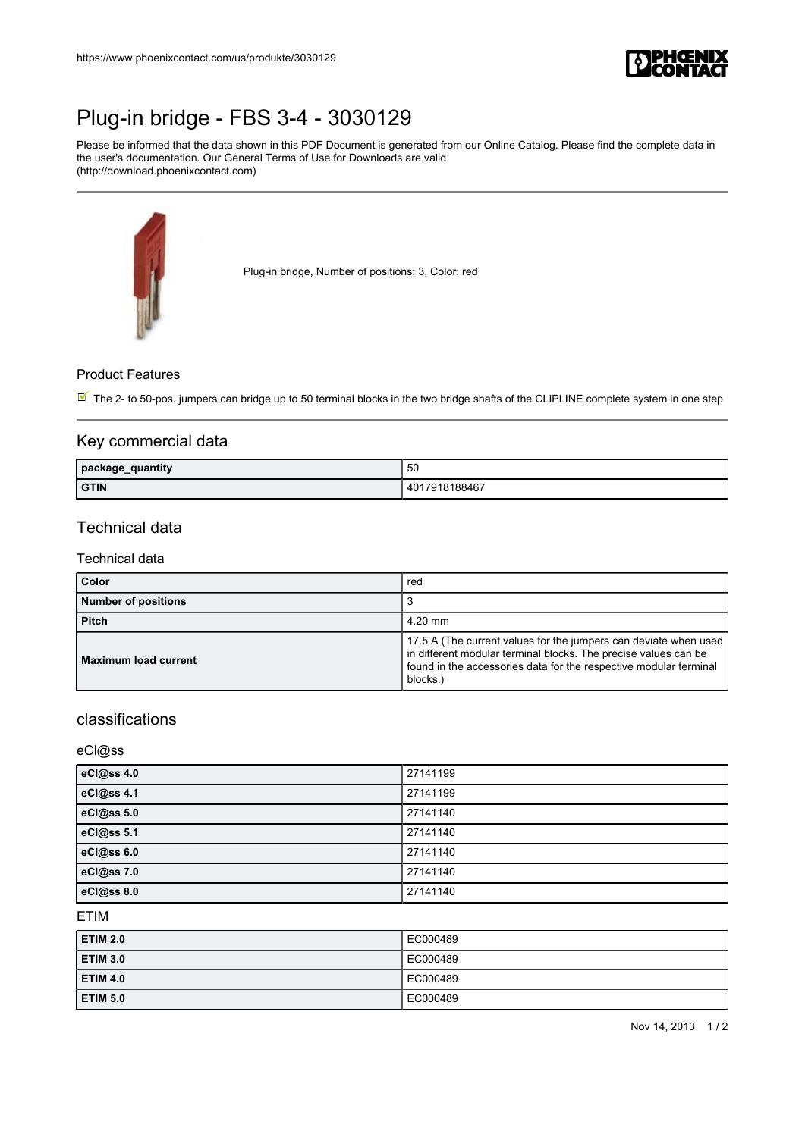

# [Plug-in bridge - FBS 3-4 - 3030129](https://www.phoenixcontact.com/de/produkte/3030129)

Please be informed that the data shown in this PDF Document is generated from our Online Catalog. Please find the complete data in the user's documentation. Our General Terms of Use for Downloads are valid (http://download.phoenixcontact.com)



Plug-in bridge, Number of positions: 3, Color: red

#### Product Features

 $\overline{\mathbb{M}}$  The 2- to 50-pos. jumpers can bridge up to 50 terminal blocks in the two bridge shafts of the CLIPLINE complete system in one step

### Key commercial data

| quantity<br>package_<br>- - | 50                           |
|-----------------------------|------------------------------|
| <b>GTIN</b>                 | 18188467<br>40<br>้กา<br>918 |

## Technical data

#### Technical data

| Color                       | red                                                                                                                                                                                                                 |
|-----------------------------|---------------------------------------------------------------------------------------------------------------------------------------------------------------------------------------------------------------------|
| <b>Number of positions</b>  |                                                                                                                                                                                                                     |
| <b>Pitch</b>                | $4.20$ mm                                                                                                                                                                                                           |
| <b>Maximum load current</b> | 17.5 A (The current values for the jumpers can deviate when used<br>in different modular terminal blocks. The precise values can be<br>found in the accessories data for the respective modular terminal<br>blocks. |

## classifications

eCl@ss

| eCl@ss 4.0   | 27141199 |
|--------------|----------|
| eCl@ss 4.1   | 27141199 |
| eCl@ss $5.0$ | 27141140 |
| eCl@ss 5.1   | 27141140 |
| eCl@ss 6.0   | 27141140 |
| eCl@ss 7.0   | 27141140 |
| eCl@ss 8.0   | 27141140 |

ETIM

| ETIM 2.0 | EC000489 |
|----------|----------|
| ETIM 3.0 | EC000489 |
| ETIM 4.0 | EC000489 |
| ETIM 5.0 | EC000489 |